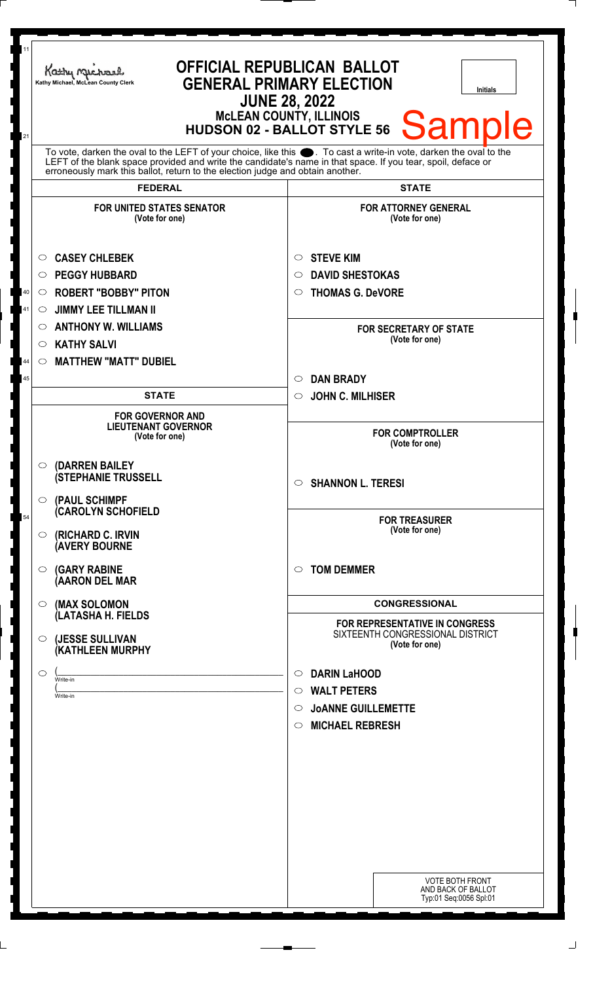| 11<br>21 | <b>OFFICIAL REPUBLICAN BALLOT</b><br>Kathy Michael<br><b>GENERAL PRIMARY ELECTION</b><br>Kathy Michael, McLean County Clerk<br><b>Initials</b><br><b>JUNE 28, 2022</b><br><b>McLEAN COUNTY, ILLINOIS</b><br><b>Sample</b><br><b>HUDSON 02 - BALLOT STYLE 56</b>                                                        |                                                                                      |
|----------|------------------------------------------------------------------------------------------------------------------------------------------------------------------------------------------------------------------------------------------------------------------------------------------------------------------------|--------------------------------------------------------------------------------------|
|          | To vote, darken the oval to the LEFT of your choice, like this $\bullet$ . To cast a write-in vote, darken the oval to the LEFT of the blank space provided and write the candidate's name in that space. If you tear, spoil, deface<br>erroneously mark this ballot, return to the election judge and obtain another. |                                                                                      |
|          | <b>FEDERAL</b>                                                                                                                                                                                                                                                                                                         | <b>STATE</b>                                                                         |
|          | <b>FOR UNITED STATES SENATOR</b><br>(Vote for one)<br><b>CASEY CHLEBEK</b><br>$\circ$                                                                                                                                                                                                                                  | <b>FOR ATTORNEY GENERAL</b><br>(Vote for one)<br><b>STEVE KIM</b><br>$\circ$         |
|          | <b>PEGGY HUBBARD</b><br>O                                                                                                                                                                                                                                                                                              | <b>DAVID SHESTOKAS</b><br>$\circ$                                                    |
| 40       | <b>ROBERT "BOBBY" PITON</b><br>$\circ$                                                                                                                                                                                                                                                                                 | <b>THOMAS G. DeVORE</b><br>$\circ$                                                   |
| 41       | <b>JIMMY LEE TILLMAN II</b><br>$\circ$                                                                                                                                                                                                                                                                                 |                                                                                      |
|          | <b>ANTHONY W. WILLIAMS</b><br>$\circ$                                                                                                                                                                                                                                                                                  | <b>FOR SECRETARY OF STATE</b><br>(Vote for one)                                      |
|          | <b>KATHY SALVI</b><br>$\circ$                                                                                                                                                                                                                                                                                          |                                                                                      |
| 44       | <b>MATTHEW "MATT" DUBIEL</b><br>$\circ$                                                                                                                                                                                                                                                                                |                                                                                      |
| 45       |                                                                                                                                                                                                                                                                                                                        | <b>DAN BRADY</b><br>$\circ$                                                          |
|          | <b>STATE</b>                                                                                                                                                                                                                                                                                                           | <b>JOHN C. MILHISER</b><br>$\circ$                                                   |
|          | <b>FOR GOVERNOR AND</b><br><b>LIEUTENANT GOVERNOR</b><br>(Vote for one)                                                                                                                                                                                                                                                | <b>FOR COMPTROLLER</b><br>(Vote for one)                                             |
|          | (DARREN BAILEY<br>$\circ$<br><b>(STEPHANIE TRUSSELL</b><br>(PAUL SCHIMPF<br>$\circ$                                                                                                                                                                                                                                    | $\circ$ SHANNON L. TERESI                                                            |
| 54       | <b>CAROLYN SCHOFIELD</b><br>(RICHARD C. IRVIN<br>$\circ$<br><b>(AVERY BOURNE</b>                                                                                                                                                                                                                                       | <b>FOR TREASURER</b><br>(Vote for one)                                               |
|          | <b>(GARY RABINE</b><br>$\circ$<br>(AARON DEL MAR                                                                                                                                                                                                                                                                       | $\circ$ TOM DEMMER                                                                   |
|          | (MAX SOLOMON<br>$\circ$                                                                                                                                                                                                                                                                                                | <b>CONGRESSIONAL</b>                                                                 |
|          | (LATASHA H. FIELDS<br>(JESSE SULLIVAN<br>$\circ$<br>(KATHLEEN MURPHY                                                                                                                                                                                                                                                   | FOR REPRESENTATIVE IN CONGRESS<br>SIXTEENTH CONGRESSIONAL DISTRICT<br>(Vote for one) |
|          |                                                                                                                                                                                                                                                                                                                        |                                                                                      |
|          | $\circ$<br>Write-in                                                                                                                                                                                                                                                                                                    | <b>DARIN LaHOOD</b><br>$\circ$                                                       |
|          | Write-in                                                                                                                                                                                                                                                                                                               | <b>WALT PETERS</b><br>$\circ$                                                        |
|          |                                                                                                                                                                                                                                                                                                                        | <b>JOANNE GUILLEMETTE</b><br>$\circ$                                                 |
|          |                                                                                                                                                                                                                                                                                                                        | <b>MICHAEL REBRESH</b><br>$\circ$                                                    |
|          |                                                                                                                                                                                                                                                                                                                        |                                                                                      |
|          |                                                                                                                                                                                                                                                                                                                        |                                                                                      |
|          |                                                                                                                                                                                                                                                                                                                        |                                                                                      |
|          |                                                                                                                                                                                                                                                                                                                        |                                                                                      |
|          |                                                                                                                                                                                                                                                                                                                        |                                                                                      |
|          |                                                                                                                                                                                                                                                                                                                        | <b>VOTE BOTH FRONT</b><br>AND BACK OF BALLOT<br>Typ:01 Seq:0056 Spl:01               |